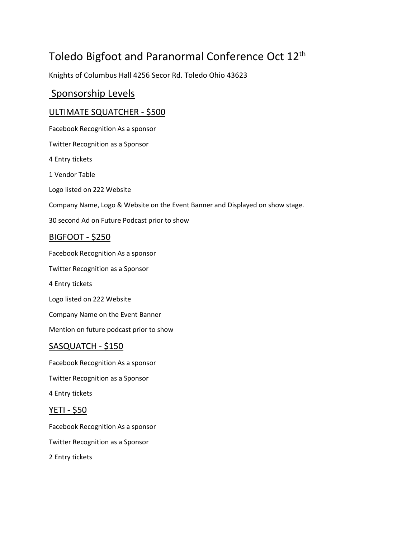# Toledo Bigfoot and Paranormal Conference Oct 12th

Knights of Columbus Hall 4256 Secor Rd. Toledo Ohio 43623

### Sponsorship Levels

#### ULTIMATE SQUATCHER - \$500

Facebook Recognition As a sponsor Twitter Recognition as a Sponsor 4 Entry tickets 1 Vendor Table Logo listed on 222 Website Company Name, Logo & Website on the Event Banner and Displayed on show stage. 30 second Ad on Future Podcast prior to show

#### BIGFOOT - \$250

Facebook Recognition As a sponsor Twitter Recognition as a Sponsor 4 Entry tickets Logo listed on 222 Website Company Name on the Event Banner Mention on future podcast prior to show SASQUATCH - \$150

Facebook Recognition As a sponsor

Twitter Recognition as a Sponsor

4 Entry tickets

#### YETI - \$50

Facebook Recognition As a sponsor Twitter Recognition as a Sponsor 2 Entry tickets